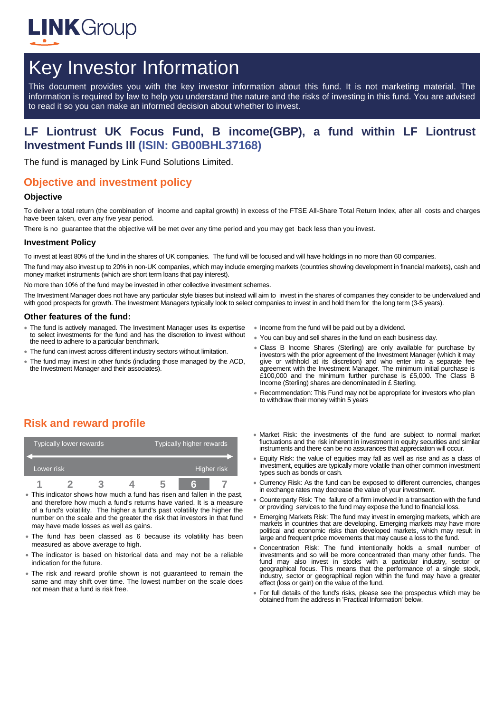

# Key Investor Information

This document provides you with the key investor information about this fund. It is not marketing material. The information is required by law to help you understand the nature and the risks of investing in this fund. You are advised to read it so you can make an informed decision about whether to invest.

## **LF Liontrust UK Focus Fund, B income(GBP), a fund within LF Liontrust Investment Funds III (ISIN: GB00BHL37168)**

The fund is managed by Link Fund Solutions Limited.

## **Objective and investment policy**

#### **Objective**

To deliver a total return (the combination of income and capital growth) in excess of the FTSE All-Share Total Return Index, after all costs and charges have been taken, over any five year period.

There is no guarantee that the objective will be met over any time period and you may get back less than you invest.

#### **Investment Policy**

To invest at least 80% of the fund in the shares of UK companies. The fund will be focused and will have holdings in no more than 60 companies.

The fund may also invest up to 20% in non-UK companies, which may include emerging markets (countries showing development in financial markets), cash and money market instruments (which are short term loans that pay interest).

No more than 10% of the fund may be invested in other collective investment schemes.

The Investment Manager does not have any particular style biases but instead will aim to invest in the shares of companies they consider to be undervalued and with good prospects for growth. The Investment Managers typically look to select companies to invest in and hold them for the long term (3-5 years).

#### **Other features of the fund:**

- The fund is actively managed. The Investment Manager uses its expertise to select investments for the fund and has the discretion to invest without the need to adhere to a particular benchmark.
- The fund can invest across different industry sectors without limitation.
- The fund may invest in other funds (including those managed by the ACD, the Investment Manager and their associates).
- Income from the fund will be paid out by a dividend.
- You can buy and sell shares in the fund on each business day.
- Class B Income Shares (Sterling) are only available for purchase by investors with the prior agreement of the Investment Manager (which it may give or withhold at its discretion) and who enter into a separate fee agreement with the Investment Manager. The minimum initial purchase is £100,000 and the minimum further purchase is £5,000. The Class B Income (Sterling) shares are denominated in £ Sterling.
- Recommendation: This Fund may not be appropriate for investors who plan to withdraw their money within 5 years

# **Risk and reward profile**

|            | Typically lower rewards |  | Typically higher rewards |  |  |
|------------|-------------------------|--|--------------------------|--|--|
| Lower risk |                         |  | Higher risk              |  |  |
|            |                         |  |                          |  |  |

- This indicator shows how much a fund has risen and fallen in the past, and therefore how much a fund's returns have varied. It is a measure of a fund's volatility. The higher a fund's past volatility the higher the number on the scale and the greater the risk that investors in that fund may have made losses as well as gains.
- The fund has been classed as 6 because its volatility has been measured as above average to high.
- The indicator is based on historical data and may not be a reliable indication for the future.
- The risk and reward profile shown is not guaranteed to remain the same and may shift over time. The lowest number on the scale does not mean that a fund is risk free.
- Market Risk: the investments of the fund are subject to normal market fluctuations and the risk inherent in investment in equity securities and similar instruments and there can be no assurances that appreciation will occur.
- Equity Risk: the value of equities may fall as well as rise and as a class of investment, equities are typically more volatile than other common investment types such as bonds or cash.
- Currency Risk: As the fund can be exposed to different currencies, changes in exchange rates may decrease the value of your investment.
- Counterparty Risk: The failure of a firm involved in a transaction with the fund or providing services to the fund may expose the fund to financial loss.
- Emerging Markets Risk: The fund may invest in emerging markets, which are markets in countries that are developing. Emerging markets may have more political and economic risks than developed markets, which may result in large and frequent price movements that may cause a loss to the fund.
- Concentration Risk: The fund intentionally holds a small number of investments and so will be more concentrated than many other funds. The fund may also invest in stocks with a particular industry, sector or geographical focus. This means that the performance of a single stock, industry, sector or geographical region within the fund may have a greater effect (loss or gain) on the value of the fund.
- For full details of the fund's risks, please see the prospectus which may be obtained from the address in 'Practical Information' below.